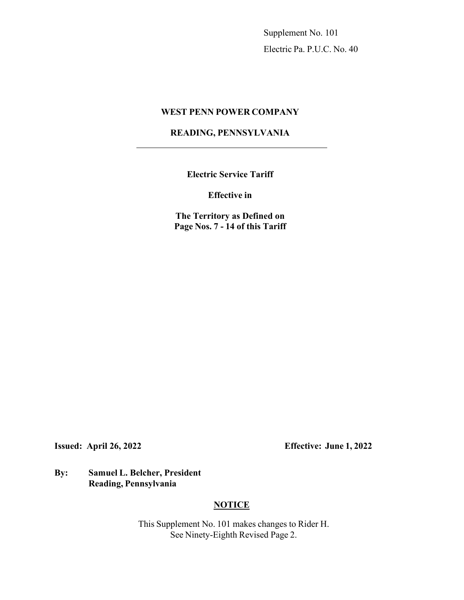Supplement No. 101 Electric Pa. P.U.C. No. 40

## **WEST PENN POWER COMPANY**

## **READING, PENNSYLVANIA**

**Electric Service Tariff**

**Effective in**

**The Territory as Defined on Page Nos. 7 - 14 of this Tariff**

**Issued: April 26, 2022 Effective: June 1, 2022** 

**By: Samuel L. Belcher, President Reading, Pennsylvania**

## **NOTICE**

This Supplement No. 101 makes changes to Rider H. See Ninety-Eighth Revised Page 2.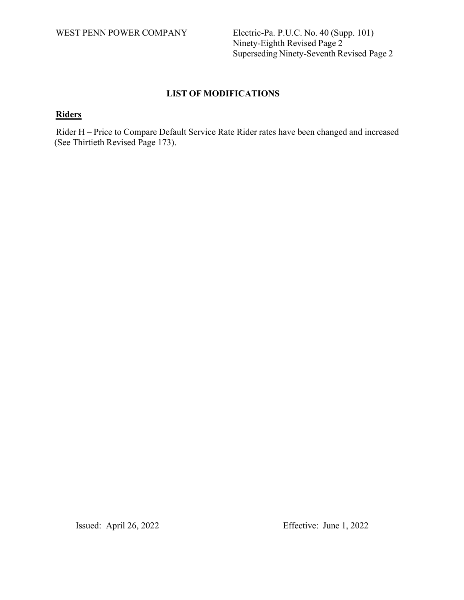WEST PENN POWER COMPANY Electric-Pa. P.U.C. No. 40 (Supp. 101) Ninety-Eighth Revised Page 2 Superseding Ninety-Seventh Revised Page 2

# **LIST OF MODIFICATIONS**

# **Riders**

Rider H – Price to Compare Default Service Rate Rider rates have been changed and increased (See Thirtieth Revised Page 173).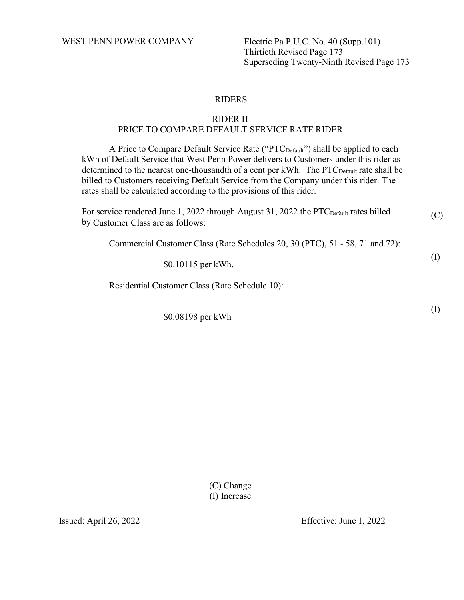WEST PENN POWER COMPANY Electric Pa P.U.C. No. 40 (Supp.101)

Thirtieth Revised Page 173 Superseding Twenty-Ninth Revised Page 173

## RIDERS

## RIDER H PRICE TO COMPARE DEFAULT SERVICE RATE RIDER

A Price to Compare Default Service Rate ("PTC<sub>Default</sub>") shall be applied to each kWh of Default Service that West Penn Power delivers to Customers under this rider as determined to the nearest one-thousandth of a cent per kWh. The  $\text{PTC}_{\text{Default}}$  rate shall be billed to Customers receiving Default Service from the Company under this rider. The rates shall be calculated according to the provisions of this rider.

(C) For service rendered June 1, 2022 through August 31, 2022 the PTC<sub>Default</sub> rates billed by Customer Class are as follows:

Commercial Customer Class (Rate Schedules 20, 30 (PTC), 51 - 58, 71 and 72):

\$0.10115 per kWh.

Residential Customer Class (Rate Schedule 10):

\$0.08198 per kWh

(C) Change (I) Increase

Issued: April 26, 2022 Effective: June 1, 2022

(I)

(I)